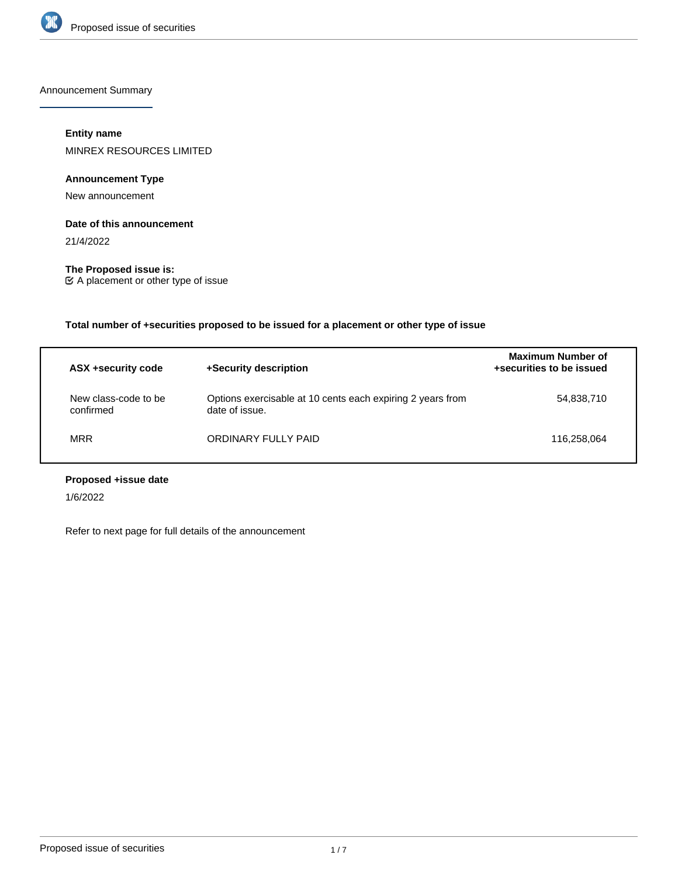

Announcement Summary

# **Entity name**

MINREX RESOURCES LIMITED

# **Announcement Type**

New announcement

## **Date of this announcement**

21/4/2022

**The Proposed issue is:** A placement or other type of issue

**Total number of +securities proposed to be issued for a placement or other type of issue**

| ASX +security code                | +Security description                                                        | Maximum Number of<br>+securities to be issued |
|-----------------------------------|------------------------------------------------------------------------------|-----------------------------------------------|
| New class-code to be<br>confirmed | Options exercisable at 10 cents each expiring 2 years from<br>date of issue. | 54,838,710                                    |
| <b>MRR</b>                        | ORDINARY FULLY PAID                                                          | 116.258.064                                   |

# **Proposed +issue date**

1/6/2022

Refer to next page for full details of the announcement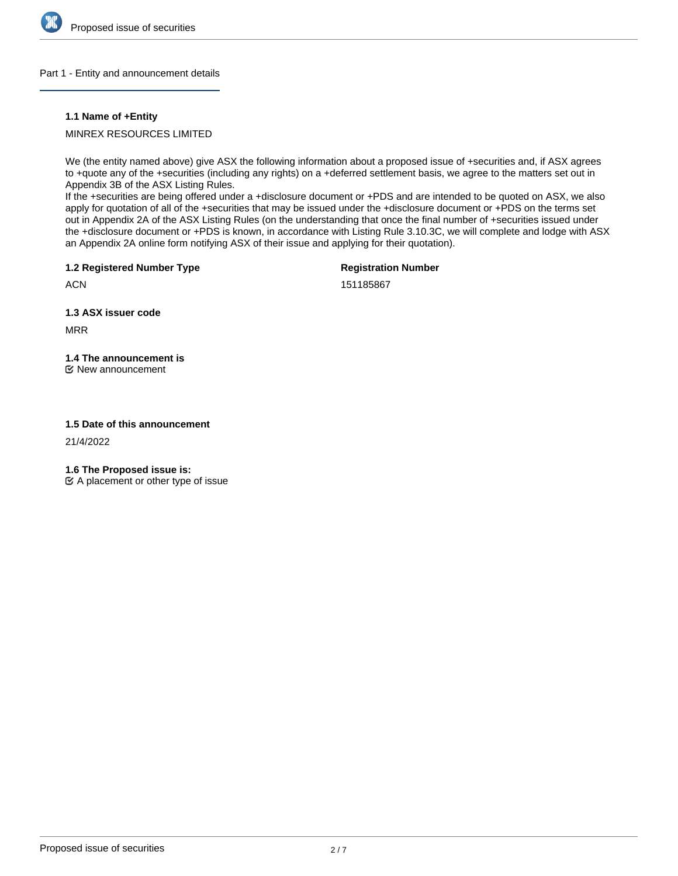

## Part 1 - Entity and announcement details

## **1.1 Name of +Entity**

# MINREX RESOURCES LIMITED

We (the entity named above) give ASX the following information about a proposed issue of +securities and, if ASX agrees to +quote any of the +securities (including any rights) on a +deferred settlement basis, we agree to the matters set out in Appendix 3B of the ASX Listing Rules.

If the +securities are being offered under a +disclosure document or +PDS and are intended to be quoted on ASX, we also apply for quotation of all of the +securities that may be issued under the +disclosure document or +PDS on the terms set out in Appendix 2A of the ASX Listing Rules (on the understanding that once the final number of +securities issued under the +disclosure document or +PDS is known, in accordance with Listing Rule 3.10.3C, we will complete and lodge with ASX an Appendix 2A online form notifying ASX of their issue and applying for their quotation).

**1.2 Registered Number Type**

**Registration Number**

151185867

**1.3 ASX issuer code**

MRR

**ACN** 

# **1.4 The announcement is**

New announcement

## **1.5 Date of this announcement**

21/4/2022

**1.6 The Proposed issue is:**

 $\mathfrak{C}$  A placement or other type of issue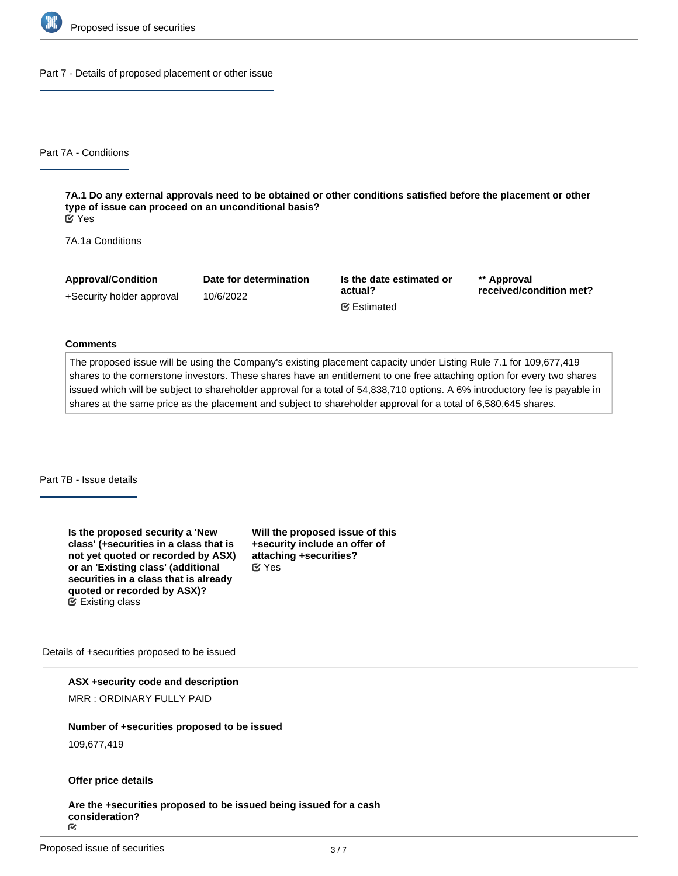

Part 7 - Details of proposed placement or other issue

Part 7A - Conditions

**7A.1 Do any external approvals need to be obtained or other conditions satisfied before the placement or other type of issue can proceed on an unconditional basis?** Yes

7A.1a Conditions

**Approval/Condition** +Security holder approval **Date for determination** 10/6/2022

**Is the date estimated or actual?** Estimated

**\*\* Approval received/condition met?**

#### **Comments**

The proposed issue will be using the Company's existing placement capacity under Listing Rule 7.1 for 109,677,419 shares to the cornerstone investors. These shares have an entitlement to one free attaching option for every two shares issued which will be subject to shareholder approval for a total of 54,838,710 options. A 6% introductory fee is payable in shares at the same price as the placement and subject to shareholder approval for a total of 6,580,645 shares.

Part 7B - Issue details

**Is the proposed security a 'New class' (+securities in a class that is not yet quoted or recorded by ASX) or an 'Existing class' (additional securities in a class that is already quoted or recorded by ASX)?** Existing class

**Will the proposed issue of this +security include an offer of attaching +securities?** Yes

Details of +securities proposed to be issued

**ASX +security code and description**

MRR : ORDINARY FULLY PAID

# **Number of +securities proposed to be issued**

109,677,419

#### **Offer price details**

**Are the +securities proposed to be issued being issued for a cash** consideration?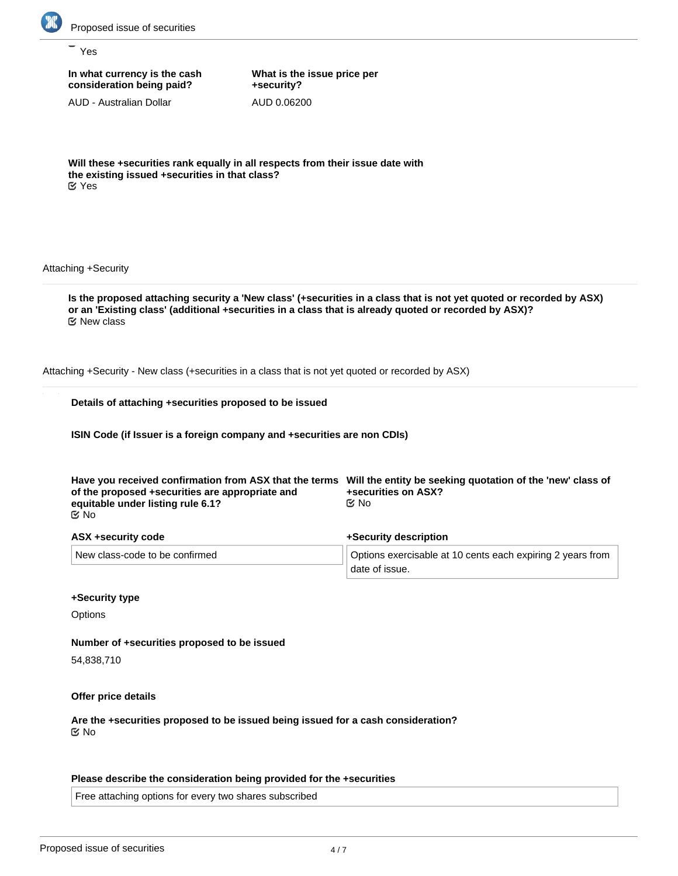

Yes

**In what currency is the cash consideration being paid?**

AUD - Australian Dollar

**What is the issue price per +security?** AUD 0.06200

**Will these +securities rank equally in all respects from their issue date with the existing issued +securities in that class?** Yes

Attaching +Security

**Is the proposed attaching security a 'New class' (+securities in a class that is not yet quoted or recorded by ASX) or an 'Existing class' (additional +securities in a class that is already quoted or recorded by ASX)?** New class

Attaching +Security - New class (+securities in a class that is not yet quoted or recorded by ASX)

|  | Details of attaching +securities proposed to be issued |  |  |
|--|--------------------------------------------------------|--|--|
|  |                                                        |  |  |

**ISIN Code (if Issuer is a foreign company and +securities are non CDIs)**

| Have you received confirmation from ASX that the terms<br>of the proposed +securities are appropriate and<br>equitable under listing rule 6.1?<br><u>ଟ</u> No | Will the entity be seeking quotation of the 'new' class of<br>+securities on ASX?<br>C⁄⊠ No |  |  |
|---------------------------------------------------------------------------------------------------------------------------------------------------------------|---------------------------------------------------------------------------------------------|--|--|
| ASX +security code                                                                                                                                            | +Security description                                                                       |  |  |
| New class-code to be confirmed                                                                                                                                | Options exercisable at 10 cents each expiring 2 years from<br>date of issue.                |  |  |

## **+Security type**

**Options** 

## **Number of +securities proposed to be issued**

54,838,710

**Offer price details**

**Are the +securities proposed to be issued being issued for a cash consideration?** No

## **Please describe the consideration being provided for the +securities**

Free attaching options for every two shares subscribed

**Please provide an estimate of the AUD equivalent of the consideration being provided for the +securities**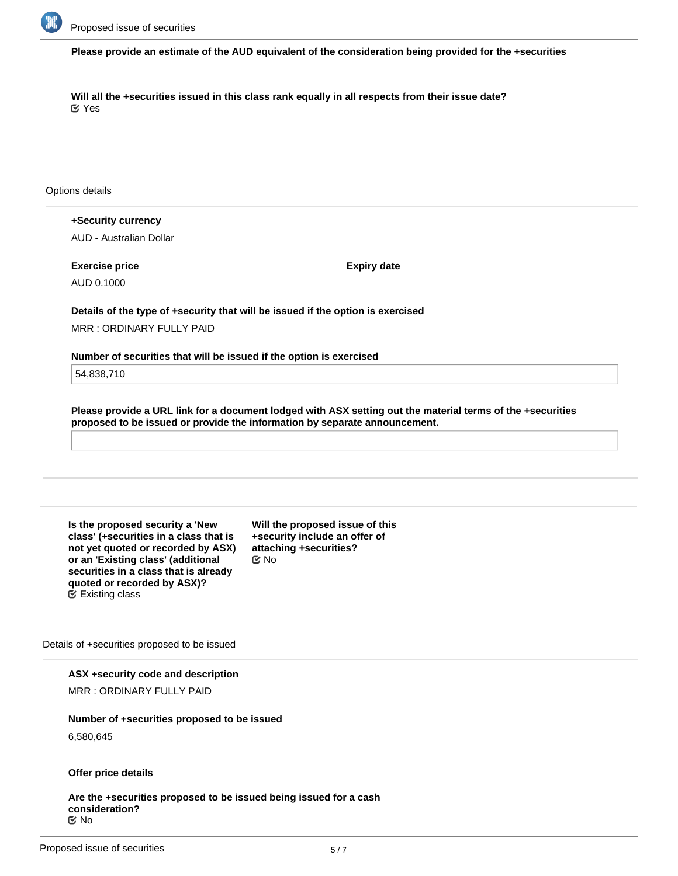

**Please provide an estimate of the AUD equivalent of the consideration being provided for the +securities**

**Will all the +securities issued in this class rank equally in all respects from their issue date?** Yes

Options details

**+Security currency** AUD - Australian Dollar

**Exercise price** AUD 0.1000

**Expiry date**

**Details of the type of +security that will be issued if the option is exercised** MRR : ORDINARY FULLY PAID

**Number of securities that will be issued if the option is exercised**

54,838,710

**Please provide a URL link for a document lodged with ASX setting out the material terms of the +securities proposed to be issued or provide the information by separate announcement.**

**Is the proposed security a 'New class' (+securities in a class that is not yet quoted or recorded by ASX) or an 'Existing class' (additional securities in a class that is already quoted or recorded by ASX)?** Existing class

**Will the proposed issue of this +security include an offer of attaching +securities?** No

Details of +securities proposed to be issued

**ASX +security code and description**

MRR : ORDINARY FULLY PAID

**Number of +securities proposed to be issued** 6,580,645

**Offer price details**

**Are the +securities proposed to be issued being issued for a cash consideration?** No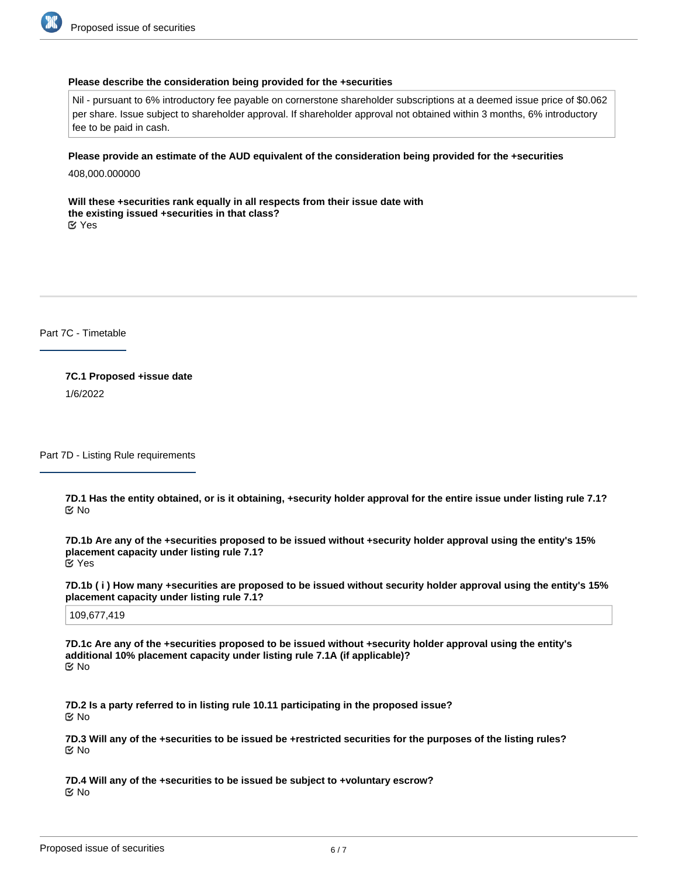

#### **Please describe the consideration being provided for the +securities**

Nil - pursuant to 6% introductory fee payable on cornerstone shareholder subscriptions at a deemed issue price of \$0.062 per share. Issue subject to shareholder approval. If shareholder approval not obtained within 3 months, 6% introductory fee to be paid in cash.

### **Please provide an estimate of the AUD equivalent of the consideration being provided for the +securities**

408,000.000000

**Will these +securities rank equally in all respects from their issue date with the existing issued +securities in that class?** Yes

Part 7C - Timetable

**7C.1 Proposed +issue date** 1/6/2022

Part 7D - Listing Rule requirements

**7D.1 Has the entity obtained, or is it obtaining, +security holder approval for the entire issue under listing rule 7.1?** No

**7D.1b Are any of the +securities proposed to be issued without +security holder approval using the entity's 15% placement capacity under listing rule 7.1?** Yes

**7D.1b ( i ) How many +securities are proposed to be issued without security holder approval using the entity's 15% placement capacity under listing rule 7.1?**

109,677,419

**7D.1c Are any of the +securities proposed to be issued without +security holder approval using the entity's additional 10% placement capacity under listing rule 7.1A (if applicable)?** No

**7D.2 Is a party referred to in listing rule 10.11 participating in the proposed issue?** No

**7D.3 Will any of the +securities to be issued be +restricted securities for the purposes of the listing rules?** No

**7D.4 Will any of the +securities to be issued be subject to +voluntary escrow?** No